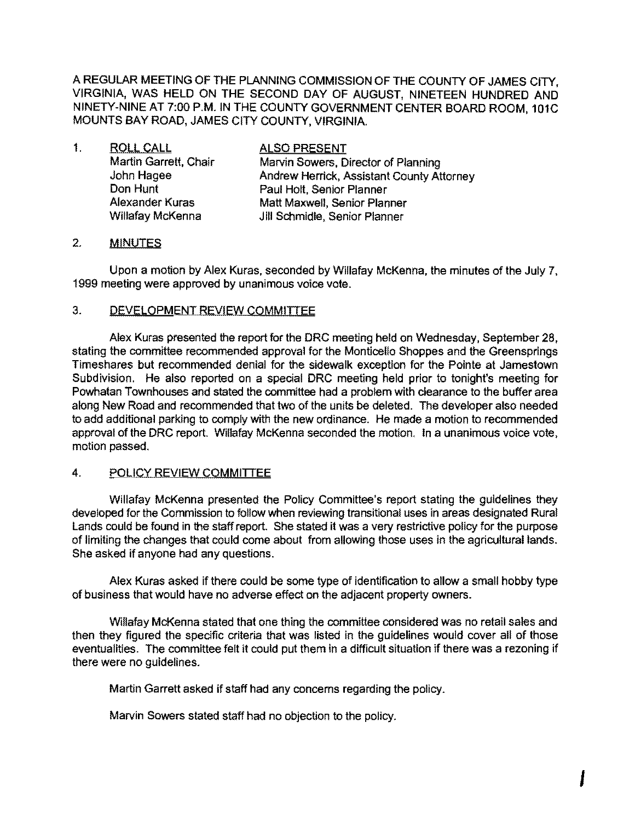A REGULAR MEETING OF THE PLANNING COMMISSION OF THE COUNTY OF JAMES CITY, VIRGINIA, WAS HELD ON THE SECOND DAY OF AUGUST, NINETEEN HUNDRED AND NINETY-NINE AT 7:00 P.M. IN THE COUNTY GOVERNMENT CENTER BOARD ROOM, 101C MOUNTS BAY ROAD, JAMES CITY COUNTY, VIRGINIA.

| $\mathbf{1}$ . | <b>ROLL CALL</b>        | <b>ALSO PRESENT</b>                       |
|----------------|-------------------------|-------------------------------------------|
|                | Martin Garrett, Chair   | Marvin Sowers, Director of Planning       |
|                | John Hagee              | Andrew Herrick, Assistant County Attorney |
|                | Don Hunt                | Paul Holt, Senior Planner                 |
|                | <b>Alexander Kuras</b>  | Matt Maxwell, Senior Planner              |
|                | <b>Willafay McKenna</b> | Jill Schmidle, Senior Planner             |

#### 2. **MINUTES**

Upon a motion by Alex Kuras, seconded by Willafay McKenna, the minutes of the July 7, 1999 meeting were approved by unanimous voice vote.

#### 3. DEVELOPMENT REVIEW COMMITTEE

Alex Kuras presented the report for the ORC meeting held on Wednesday, September 28, stating the committee recommended approval for the Monticello Shoppes and the Greensprings Timeshares but recommended denial for the sidewalk exception for the Pointe at Jamestown Subdivision. He also reported on a special DRC meeting held prior to tonight's meeting for Powhatan Townhouses and stated the committee had a problem with clearance to the buffer area along New Road and recommended that two of the units be deleted. The developer also needed to add additional parking to comply with the new ordinance. He made a motion to recommended approval of the DRC report. Willafay McKenna seconded the motion. In a unanimous voice vote, motion passed.

#### 4. POLICY REVIEW COMMITTEE

Willafay McKenna presented the Policy Committee's report stating the guidelines they developed for the Commission to follow when reviewing transitional uses in areas designated Rural Lands could be found in the staff report. She stated it was a very restrictive policy for the purpose of limiting the changes that could come about from allowing those uses in the agricultural lands. She asked if anyone had any questions.

Alex Kuras asked if there could be some type of identification to allow a small hobby type of business that would have no adverse effect on the adjacent property owners.

Willafay McKenna stated that one thing the committee considered was no retail sales and then they figured the specific criteria that was listed in the guidelines would cover all of those eventualities. The committee felt it could put them in a difficult situation if there was a rezoning if there were no guidelines.

Martin Garrett asked if staff had any concerns regarding the policy.

Marvin Sowers stated staff had no objection to the policy.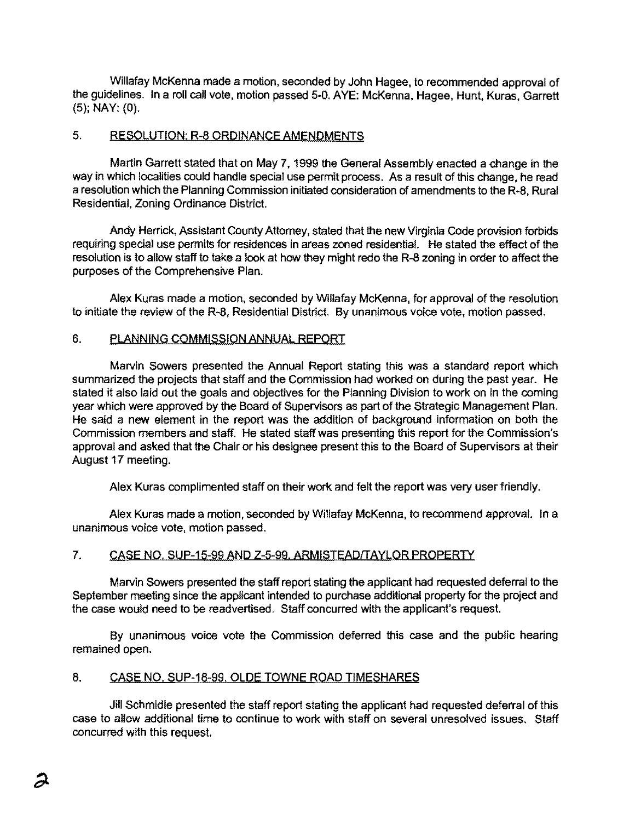Willafay McKenna made a motion, seconded by John Hagee, to recommended approval of the guidelines. In a roll call vote, motion passed 5-0. AYE: McKenna, Hagee, Hunt. Kuras, Garrett (5); NAY: (0).

### 5. RESOLUTION: R-8 ORDINANCE AMENDMENTS

Martin Garrett stated that on May 7, 1999 the General Assembly enacted a change in the way in which localities could handle special use permit process. As a result of this change, he read a resolution which the Planning Commission initiated consideration of amendments to the R-8, Rural Residential, Zoning Ordinance District.

Andy Herrick, Assistant County Attomey, stated that the new Virginia Code provision forbids requiring special use permits for residences in areas zoned residential. He stated the effect of the resolution is to allow staff to take a look at how they might redo the R-8 zoning in order to affect the purposes of the Comprehensive Plan.

Alex Kuras made a motion, seconded by Willafay McKenna, for approval of the resolution to initiate the review of the R-8, Residential District. By unanimous voice vote. motion passed.

### 6. PLANNING COMMISSION ANNUAL REPORT

Marvin Sowers presented the Annual Report stating this was a standard report which summarized the projects that staff and the Commission had worked on during the past year. He stated it also laid out the goals and objectives for the Planning Division to work on in the coming year which were approved by the Board of Supervisors as part of the Strategic Management Plan. He said a new element in the report was the addition of background information on both the Commission members and staff. He stated staff was presenting this report for the Commission's approval and asked that the Chair or his designee present this to the Board of Supervisors at their August 17 meeting.

Alex Kuras complimented staff on their work and felt the report was very user friendly.

Alex Kuras made a motion, seconded by Willafay McKenna, to recommend approval. In a unanimous voice vote, motion passed.

### 7. CASE NO, SUP-15-99 AND Z-5-99. ARMISTEAD/TAYLOR PROPERTY

Marvin Sowers presented the staff report stating the applicant had requested deferral to the September meeting since the applicant intended to purchase additional property for the project and the case would need to be readvertised. Staff concurred with the applicant's request.

By unanimous voice vote the Commission deferred this case and the public hearing remained open.

### 8. CASE NO. SUP-18-99. OLDE TOWNE ROAD TIMESHARES

Jill Schmidle presented the staff report stating the applicant had requested deferral of this case to allow additional time to continue to work with staff on several unresolved issues. Staff concurred with this request.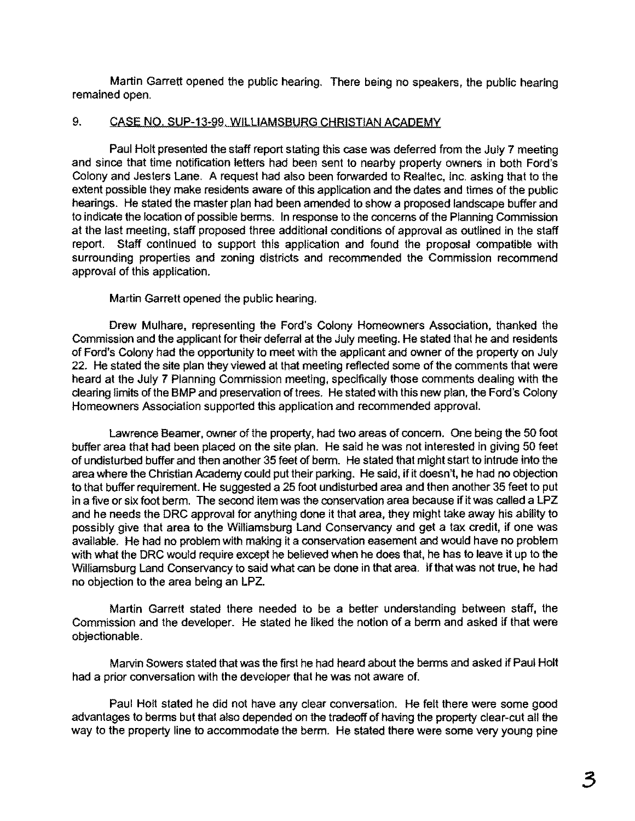Martin Garrett opened the public hearing. There being no speakers, the public hearing remained open.

# 9. CASE NO, SUP-13-99. WILLIAMSBURG CHRISTIAN ACADEMY

Paul Holt presented the staff report stating this case was deferred from the July 7 meeting and since that time notification letters had been sent to nearby property owners in both Ford's Colony and Jesters Lane. A request had also been forwarded to Realtec, Inc. asking that to the extent possible they make residents aware of this application and the dates and times of the public hearings. He stated the master plan had been amended to show a proposed landscape buffer and to indicate the location of possible berms. In response to the concems of the Planning Commission at the last meeting, staff proposed three additional conditions of approval as outlined in the staff report. Staff continued to support this application and found the proposal compatible with surrounding properties and zoning districts and recommended the Commission recommend approval of this application.

Martin Garrett opened the public hearing.

Drew Mulhare, representing the Ford's Colony Homeowners Association, thanked the Commission and the applicant for their deferral at the July meeting. He stated that he and residents of Ford's Colony had the opportunity to meet with the applicant and owner of the property on July 22. He stated the site plan they viewed at that meeting reflected some of the comments that were heard at the July 7 Planning Commission meeting, specifically those comments dealing with the clearing limits of the BMP and preservation of trees. He stated with this new plan, the Ford's Colony Homeowners Association supported this application and recommended approval.

Lawrence Beamer, owner of the property, had two areas of concem. One being the 50 foot buffer area that had been placed on the site plan. He said he was not interested in giving 50 feet of undisturbed buffer and then another 35 feet of berm. He slated that might start to intrude into the area where the Christian Academy could put their parking. He said, if it doesn't, he had no objection to that buffer requirement. He suggested a 25 foot undisturbed area and then another 35 feet to put in a five or six foot berm. The second item was the conservation area because if it was called a LPZ and he needs the DRC approval for anything done it that area, they might take away his ability to possibly give that area to the Williamsburg Land Conservancy and get a tax credit, if one was available. He had no problem with making it a conservation easement and would have no problem with what the DRC would require except he believed when he does that, he has to leave it up to the Williamsburg Land Conservancy to said what can be done in that area. If that was not true, he had no objection to the area being an LPZ.

Martin Garrett slated there needed to be a better understanding between staff, the Commission and the developer. He stated he liked the notion of a berm and asked if that were objectionable.

Marvin Sowers stated that was the first he had heard about the berms and asked if Paul Holt had a prior conversation with the developer that he was not aware of.

Paul Holt stated he did not have any ciear conversation. He felt there were some good advantages to berms but that also depended on the tradeoff of having the property ciear-cut all the way to the property line to accommodate the berm. He slated there were some very young pine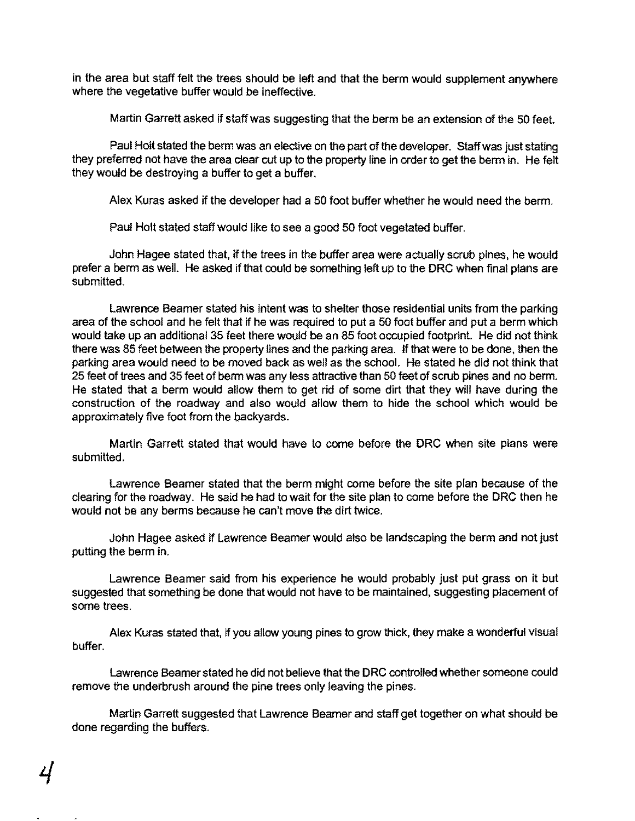in the area but staff felt the trees should be left and that the berm would supplement anywhere where the vegetative buffer would be ineffective.

Martin Garrett asked if staff was suggesting that the berm be an extension of the 50 feet.

Paul Holt stated the berm was an elective on the part of the developer. Staff was just stating they preferred not have the area clear cut up to the property line in order to get the berm in. He felt they would be destroying a buffer to get a buffer.

Alex Kuras asked if the developer had a 50 foot buffer whether he would need the berm.

Paul Holt stated staff would like to see a good 50 foot vegetated buffer.

John Hagee stated that, if the trees in the buffer area were actually scrub pines, he would prefer a berm as well. He asked if that could be something left up to the DRC when final plans are submitted.

Lawrence Beamer stated his intent was to shelter those residential units from the parking area of the school and he felt that if he was required to put a 50 foot buffer and put a berm which would take up an additional 35 feet there would be an 85 foot occupied footprint. He did not think there was 85 feet between the property lines and the parking area. If that were to be done, then the parking area would need to be moved back as well as the school. He stated he did not think that 25 feet of trees and 35 feet of berm was any less attractive than 50 feat of scrub pines and no berm. He stated that a berm would allow them to get rid of some dirt that they will have during the construction of the roadway and also would allow them to hide the school which would be approximately five foot from the backyards.

Martin Garrett stated that would have to come before the ORe when site plans were submitted.

Lawrence Beamer stated that the berm might oome before the site plan because of the clearing for the roadway. He said he had to wait for the site plan to come before the DRC then he would not be any berms because he can't move the dirt twice.

John Hagee asked if Lawrence Beamer would also be landscaping the berm and not just putting the berm in.

Lawrence Beamer said from his experience he would probably just put grass on it but suggested that something be done that would not have to be maintained, suggesting placement of some trees.

Alex Kuras stated that, if you allow young pines to grow thick, they make a wonderful visual buffer.

Lawrence Beamer stated he did not believe that the ORe controlled whether someone could remove the underbrush around the pine trees only leaving the pines.

Martin Garrett suggested that Lawrence Beamer and staff get together on what should be done regarding the buffers.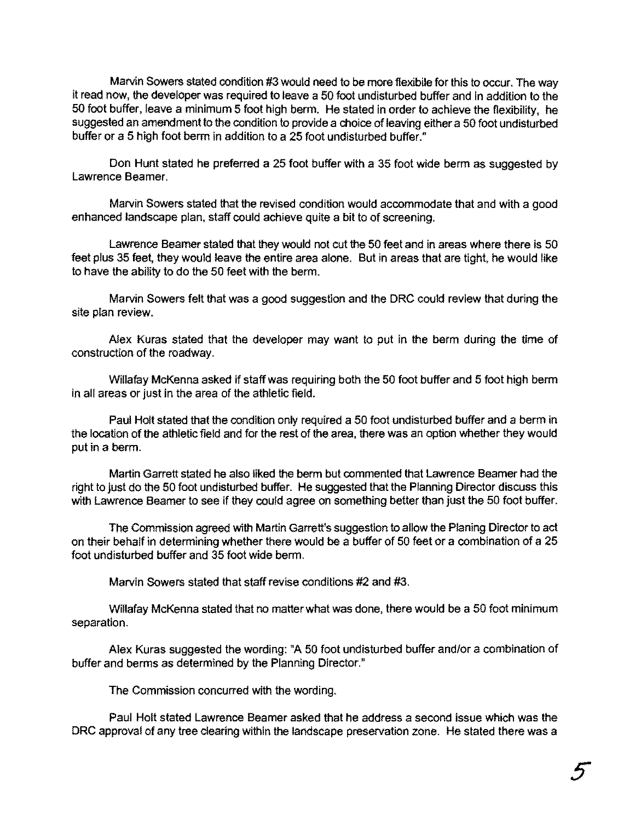Marvin Sowers stated condition #3 would need to be more flexibile for this to occur. The way it read now, the developer was required to leave a 50 fcot undisturbed buffer and in addition to the 50 foot buffer, leave a minimum 5 foot high berm. He stated in order to achieve the flexibility, he suggested an amendment to the condition to provide a choice of leaving either a 50 foot undisturbed buffer or a 5 high foot berm in addition to a 25 foot undisturbed buffer."

Don Hunt stated he preferred a 25 foot buffer with a 35 foot wide berm as suggested by Lawrence Beamer.

Marvin Sowers stated that the revised condition would accommodate that and with a good enhanced landscape plan, staff could achieve quite a bit to of screening.

Lawrence Beamer stated that they would not cut the 50 feet and in areas where there is 50 feet plus 35 feet, they would leave the entire area alone. But in areas that are tight, he would like to have the ability to do the 50 feet with the berm.

Marvin Sowers felt that was a good suggestion and the DRC could review that during the site plan review.

Alex Kuras stated that the developer may want to put in the berm during the time of construction of the roadway.

Willafay McKenna asked if staff was requiring both the 50 foot buffer and 5 foot high berm in all areas or just in the area of the athletic field.

Paul Holt stated that the condition only required a 50 foot undisturbed buffer and a berm in the location of the athletic field and for the rest of the area, there was an option whether they would put in a berm.

Martin Garrett stated he also liked the berm but commented that Lawrence Beamer had the right to just do the 50 foot undisturbed buffer. He suggested that the Planning Director discuss this with Lawrence Beamer to see if they could agree on something better than just the 50 foot buffer.

The Commission agreed with Martin Ganrett's suggestion to allow the Planing Director to act on their behalf in determining whether there would be a buffer of 50 feet or a combination of a 25 foot undisturbed buffer and 35 foot wide berm.

Marvin Sowers stated that staff revise conditions #2 and #3.

Willafay McKenna stated that no matter what was done, there would be a 50 foot minimum separation.

Alex Kuras suggested the wording: "A 50 foot undisturbed buffer and/or a combination of buffer and berms as determined by the Planning Director."

The Commission concurred with the wording.

Paul Holt stated Lawrence Beamer asked that he address a second issue which was Ihe DRC approval of any tree clearing within the landscape preservation zone. He stated there was a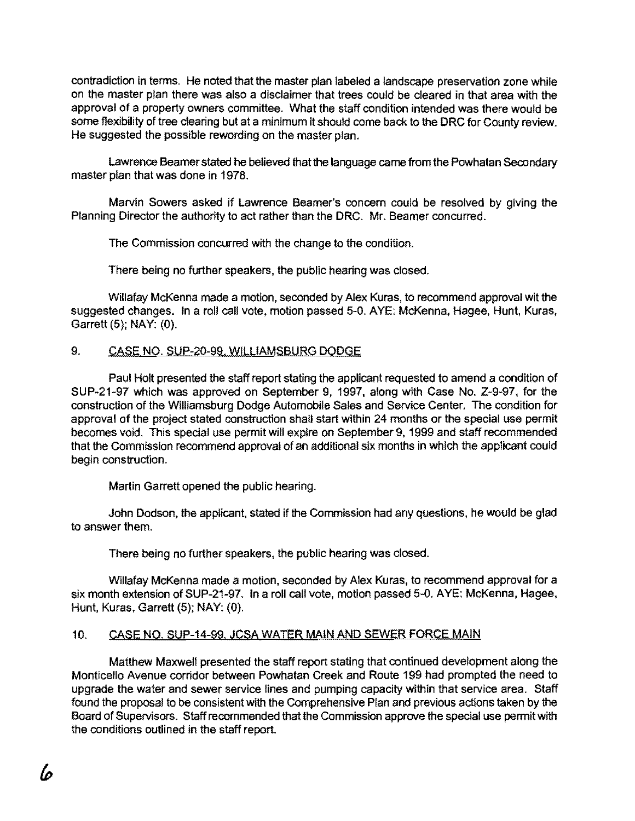contradiction in terms. He noted that the master plan labeled a landscape preservation zone while on the master plan there was also a disclaimer that trees could be cleared in that area with the approval of a property owners committee. What the staff condition intended was there would be some flexibility of tree clearing but at a minimum it should come back to the DRC for County review. He suggested the possible rewording on the master plan.

Lawrence Beamer stated he believed that the language came from Ihe Powhatan Secondary master plan that was done in 1978.

Marvin Sowers asked if Lawrence Beamer's concern could be resolved by giving the Planning Director the authority to act rather than the DRC. Mr. Beamer concurred.

The Commission concurred with the change to the condition.

There being no further speakers, the public hearing was closed.

Willafay McKenna made a motion, seconded by Alex Kuras, to recommend approval wit the suggested changes. In a roll call vote, motion passed 5-0. AYE: McKenna, Hagee, Hunt, Kuras, Garrett (5); NAY: (0).

# 9. CASE NO. SUP-20-99. WILLIAMSBURG DODGE

Paul Holt presented the staff report stating the applicant requested to amend a condition of SUP-21-97 which was approved on September 9, 1997, along with Case No. Z-9-97, for the construction of the Williamsburg Dodge Automobile Sales and Service Center. The condition for approval of the project stated construction shall start within 24 months or the special use permit becomes void. This special use permit will expire on September 9, 1999 and staff recommended that the Commission recommend approval of an additional six months in which the applicant could begin construction.

Martin Garrett opened the public hearing.

John Dodson, the applicant. stated if the Commission had any questions, he would be glad to answer them.

There being no further speakers, the public hearing was closed.

Willafay McKenna made a motion, seconded by Alex Kuras, to recommend approval for a six month extension of SUP-21-97. In a roll call vote, motion passed 5-0. AYE: McKenna, Hagee, Hunt, Kuras, Garrett (5); NAY: (0).

# 10. CASE NO. SUP-14-99. JCSA WATER MAIN AND SEWER FORCE MAIN

Matthew Maxwell presented the staff report stating that continued development along the Monticello Avenue corridor between Powhatan Creek and Route 199 had prompted the need to upgrade the water and sewer service lines and pumping capacity within that service area. Staff found the proposal to be consistent with the Comprehensive Plan and previous actions taken by the Board of Supervisors. Staff recommended that the Commission approve the special use permit with the conditions outlined in the staff report.